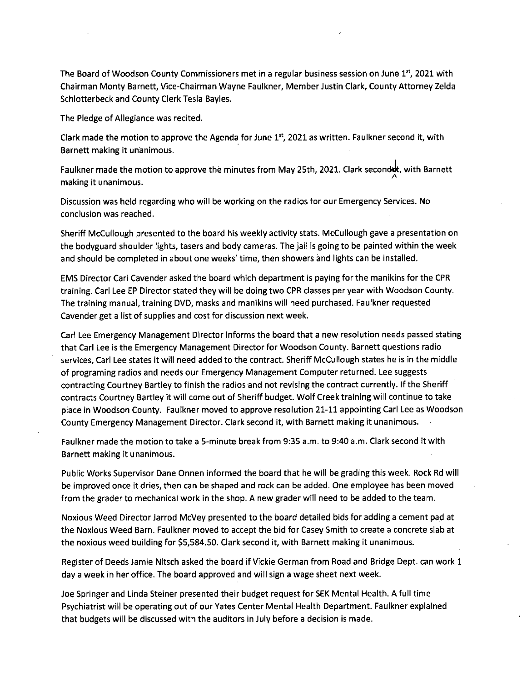The Board of Woodson County Commissioners met in a regular business session on June  $1<sup>st</sup>$ , 2021 with Chairman Monty Barnett, Vice-Chairman Wayne Faulkner, Member Justin Clark, County Attorney Zelda Schlotterbeck and County Clerk Tesla Bayles.

The Pledge of Allegiance was recited.

Clark made the motion to approve the Agenda for June 1st, 2021 as written. Faulkner second it, with Barnett making it unanimous.

Faulkner made the motion to approve the minutes from May 25th, 2021. Clark secondut, with Barnett making it unanimous.

Discussion was held regarding who will be working on the radios for our Emergency Services. No conclusion was reached.

Sheriff McCullough presented to the board his weekly activity stats. McCullough gave a presentation on the bodyguard shoulder lights, tasers and body cameras. The jail is going to be painted within the week and should be completed in about one weeks' time, then showers and lights can be installed.

EMS Director Cari Cavender asked the board which department is paying for the manikins for the CPR training. Carl Lee EP Director stated they will be doing two CPR classes per year with Woodson County. The training manual, training DVD, masks and manikins will need purchased. Faulkner requested Cavender get a list of supplies and cost for discussion next week.

Carl Lee Emergency Management Director informs the board that a new resolution needs passed stating that Carl Lee is the Emergency Management Director for Woodson County. Barnett questions radio services, Carl Lee states it will need added to the contract. Sheriff McCullough states he is in the middle of programing radios and needs our Emergency Management Computer returned. Lee suggests contracting Courtney Bartley to finish the radios and not revising the contract currently. If the Sheriff contracts Courtney Bartley it will come out of Sheriff budget. Wolf Creek training will continue to take place in Woodson County. Faulkner moved to approve resolution 21-11 appointing Carl Lee as Woodson County Emergency Management Director. Clark second it, with Barnett making it unanimous.

Faulkner made the motion to take a 5-minute break from 9:35 a.m. to 9:40 a.m. Clark second it with Barnett making it unanimous.

Public Works Supervisor Dane Onnen informed the board that he will be grading this week. Rock Rd will be improved once it dries, then can be shaped and rock can be added. One employee has been moved from the grader to mechanical work in the shop. A new grader will need to be added to the team.

Noxious Weed Director Jarrod McVey presented to the board detailed bids for adding a cement pad at the Noxious Weed Barn. Faulkner moved to accept the bid for Casey Smith to create a concrete slab at the noxious weed building for \$5,584.50. Clark second it, with Barnett making it unanimous.

Register of Deeds Jamie Nitsch asked the board if Vickie German from Road and Bridge Dept. can work 1 day a week in her office. The board approved and will sign a wage sheet next week.

Joe Springer and Linda Steiner presented their budget request for SEK Mental Health. A full time Psychiatrist will be operating out of our Yates Center Mental Health Department. Faulkner explained that budgets will be discussed with the auditors in July before a decision is made.